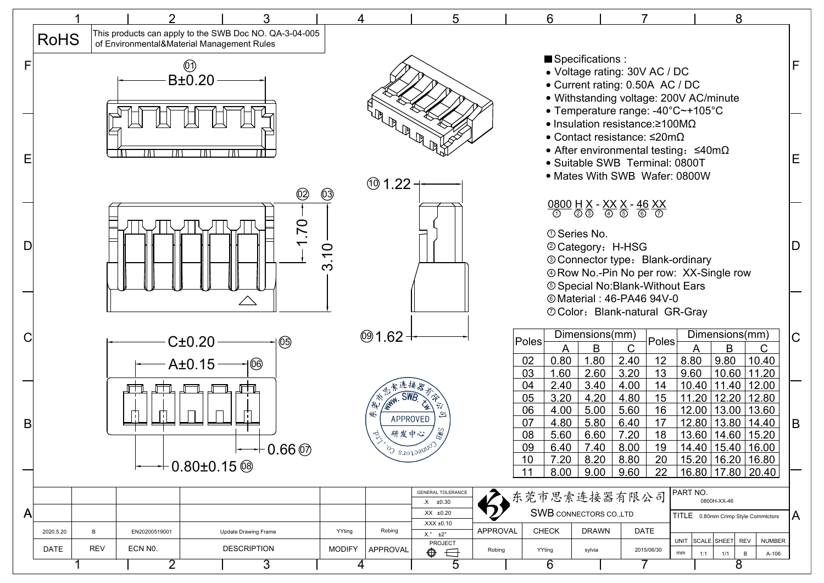|   |             |            |                           |                                                                                                      |                                  |                    |                    | 5                                                                    |          | 6                        |                               |                                                                                                                                                                                                                                                                                                                                                                                                 |               |       | 8                                                |               |             |
|---|-------------|------------|---------------------------|------------------------------------------------------------------------------------------------------|----------------------------------|--------------------|--------------------|----------------------------------------------------------------------|----------|--------------------------|-------------------------------|-------------------------------------------------------------------------------------------------------------------------------------------------------------------------------------------------------------------------------------------------------------------------------------------------------------------------------------------------------------------------------------------------|---------------|-------|--------------------------------------------------|---------------|-------------|
|   | <b>RoHS</b> |            |                           | This products can apply to the SWB Doc NO. QA-3-04-005<br>of Environmental&Material Management Rules |                                  |                    |                    |                                                                      |          |                          |                               |                                                                                                                                                                                                                                                                                                                                                                                                 |               |       |                                                  |               |             |
|   |             |            |                           | $\circled{0}$                                                                                        |                                  |                    |                    |                                                                      |          |                          | Specifications :              | • Voltage rating: 30V AC / DC                                                                                                                                                                                                                                                                                                                                                                   |               |       |                                                  |               | F           |
|   |             |            |                           | B±0.20                                                                                               |                                  |                    |                    |                                                                      |          |                          |                               | • Current rating: 0.50A AC / DC<br>• Withstanding voltage: 200V AC/minute                                                                                                                                                                                                                                                                                                                       |               |       |                                                  |               |             |
|   |             |            |                           |                                                                                                      |                                  |                    |                    |                                                                      |          |                          |                               | • Temperature range: -40°C~+105°C                                                                                                                                                                                                                                                                                                                                                               |               |       |                                                  |               |             |
|   |             |            |                           |                                                                                                      |                                  |                    | <b>ARALLE</b>      |                                                                      |          |                          |                               | • Insulation resistance: $\geq 100 \text{M}\Omega$<br>• Contact resistance: $\leq$ 20m $\Omega$                                                                                                                                                                                                                                                                                                 |               |       |                                                  |               |             |
|   |             |            | ΙA                        |                                                                                                      |                                  |                    |                    |                                                                      |          |                          |                               | • After environmental testing: $\leq 40 \text{m}\Omega$<br>• Suitable SWB Terminal: 0800T                                                                                                                                                                                                                                                                                                       |               |       |                                                  |               | E           |
|   |             |            |                           |                                                                                                      |                                  |                    | @1.22              |                                                                      |          |                          |                               | • Mates With SWB Wafer: 0800W                                                                                                                                                                                                                                                                                                                                                                   |               |       |                                                  |               |             |
|   |             |            |                           |                                                                                                      | @                                | $\circledS$        |                    |                                                                      |          |                          |                               | $\underbrace{0800}_{\textcircled{\scriptsize{0}}} \underset{\textcircled{\scriptsize{0}}} {\underline{H}} \underset{\textcircled{\scriptsize{0}}} {\underline{X}} - \underset{\textcircled{\scriptsize{0}}} {\underline{XX}} \underset{\textcircled{\scriptsize{0}}} {\underline{X}} - \underbrace{46}_{\textcircled{\scriptsize{0}}} \underset{\textcircled{\scriptsize{0}}} {\underline{XX}}$ |               |       |                                                  |               |             |
|   |             |            |                           |                                                                                                      | 70                               |                    |                    |                                                                      |          |                          | <b>10 Series No.</b>          |                                                                                                                                                                                                                                                                                                                                                                                                 |               |       |                                                  |               |             |
| D |             |            |                           |                                                                                                      |                                  | 3.10               |                    |                                                                      |          |                          | @ Category: H-HSG             | © Connector type: Blank-ordinary                                                                                                                                                                                                                                                                                                                                                                |               |       |                                                  |               | D           |
|   |             |            |                           |                                                                                                      |                                  |                    |                    |                                                                      |          |                          |                               | <b>4 Row No.-Pin No per row: XX-Single row</b><br><b>5 Special No:Blank-Without Ears</b>                                                                                                                                                                                                                                                                                                        |               |       |                                                  |               |             |
|   |             |            |                           | $\triangle$                                                                                          |                                  |                    |                    |                                                                      |          |                          |                               | © Material: 46-PA46 94V-0<br><b>O Color: Blank-natural GR-Gray</b>                                                                                                                                                                                                                                                                                                                              |               |       |                                                  |               |             |
|   |             |            |                           |                                                                                                      |                                  |                    | $@1.62 -$          |                                                                      |          |                          | Dimensions(mm)                |                                                                                                                                                                                                                                                                                                                                                                                                 |               |       | Dimensions(mm)                                   |               |             |
|   |             |            |                           | C±0.20                                                                                               | ශි                               |                    |                    |                                                                      |          | Poles<br>A               | B                             | Poles<br>$\mathsf{C}$                                                                                                                                                                                                                                                                                                                                                                           |               | A     | B                                                | C             | $\mathsf C$ |
|   |             |            |                           | A±0.15                                                                                               | @                                |                    |                    |                                                                      |          | 02<br>0.80<br>03<br>1.60 | 1.80<br>2.60                  | 2.40<br>12<br>3.20<br>13                                                                                                                                                                                                                                                                                                                                                                        | 8.80<br>9.60  |       | $ 9.80\rangle$<br>10.60 11.20                    | 10.40         |             |
|   |             |            |                           |                                                                                                      |                                  |                    |                    |                                                                      |          | 04<br>2.40<br>05<br>3.20 | 3.40<br>4.20                  | 4.00<br>14<br>4.80<br>15                                                                                                                                                                                                                                                                                                                                                                        |               | 10.40 | $11.40$   12.00<br>11.20   12.20   12.80         |               |             |
| B |             |            |                           |                                                                                                      |                                  |                    | APPROVED           |                                                                      |          | 06<br>4.00<br>07<br>4.80 | 5.00<br>5.80                  | 5.60<br>16<br>6.40<br>17                                                                                                                                                                                                                                                                                                                                                                        |               |       | 12.00   13.00   13.60<br>12.80   13.80   14.40   |               | B           |
|   |             |            |                           |                                                                                                      | $\rightarrow 0.66\,\circledcirc$ |                    | 研发中心<br>S stotogny | <b>RWS</b>                                                           |          | 08<br>5.60<br>09         | 6.60<br>$6.40$ 7.40 8.00      | 7.20<br>18<br>19                                                                                                                                                                                                                                                                                                                                                                                |               |       | 13.60   14.60   15.20<br>$14.40$ $15.40$ $16.00$ |               |             |
|   |             |            |                           | $+$ 0.80±0.15 $\circledast$                                                                          |                                  |                    |                    |                                                                      |          | 10<br>7.20<br>11<br>8.00 | 8.20<br>9.00                  | 8.80<br>20<br>22<br>9.60                                                                                                                                                                                                                                                                                                                                                                        |               |       | 15.20   16.20   16.80<br>16.80   17.80   20.40   |               |             |
|   |             |            |                           |                                                                                                      |                                  |                    |                    | <b>GENERAL TOLERANCE</b><br>$.X = \pm 0.30$                          |          | 东莞市思索连接器有限公司             |                               |                                                                                                                                                                                                                                                                                                                                                                                                 | PART NO.      |       | 0800H-XX-46                                      |               |             |
| A |             |            |                           |                                                                                                      |                                  |                    |                    | $XX \pm 0.20$<br>XXX ±0.10                                           |          |                          | <b>SWB</b> CONNECTORS CO.,LTD |                                                                                                                                                                                                                                                                                                                                                                                                 |               |       | TITLE 0.80mm Crimp Style Commtctors              |               | ۱A          |
|   | 2020.5.20   | B          | EN20200519001             | <b>Update Drawing Frame</b>                                                                          |                                  | YYting             | Robing             | $X.^{\circ}$ $\pm 2^{\circ}$<br>PROJECT                              | APPROVAL | <b>CHECK</b>             | <b>DRAWN</b>                  | <b>DATE</b>                                                                                                                                                                                                                                                                                                                                                                                     | <b>UNIT</b>   |       | SCALE SHEET REV                                  | <b>NUMBER</b> |             |
|   | DATE        | <b>REV</b> | ECN NO.<br>$\overline{2}$ | <b>DESCRIPTION</b>                                                                                   | 3                                | <b>MODIFY</b><br>4 | APPROVAL           | $\qquad \qquad \Longleftrightarrow$<br>$\bigoplus$<br>$\overline{5}$ | Robing   | YYting<br>6              | sylvia                        | 2015/06/30<br>$\overline{7}$                                                                                                                                                                                                                                                                                                                                                                    | $\mathsf{mm}$ | 1:1   | $\overline{B}$<br>1/1<br>8                       | A-106         |             |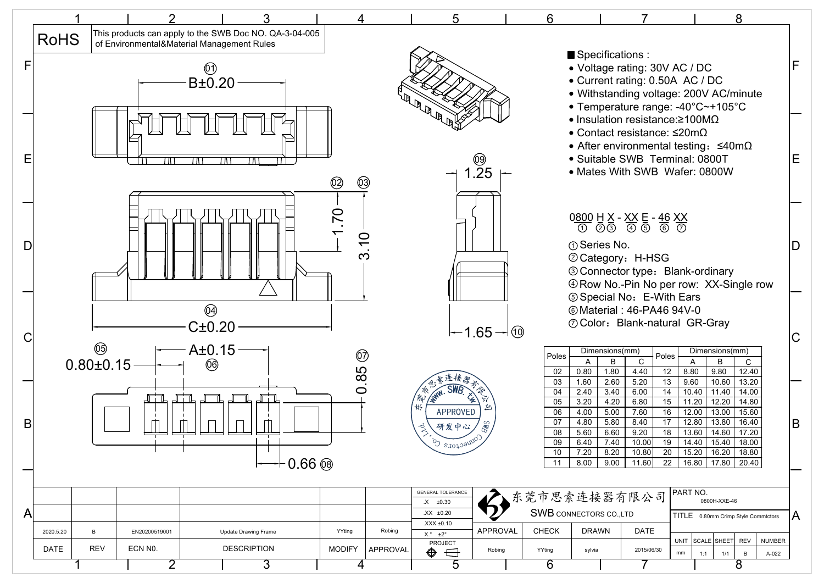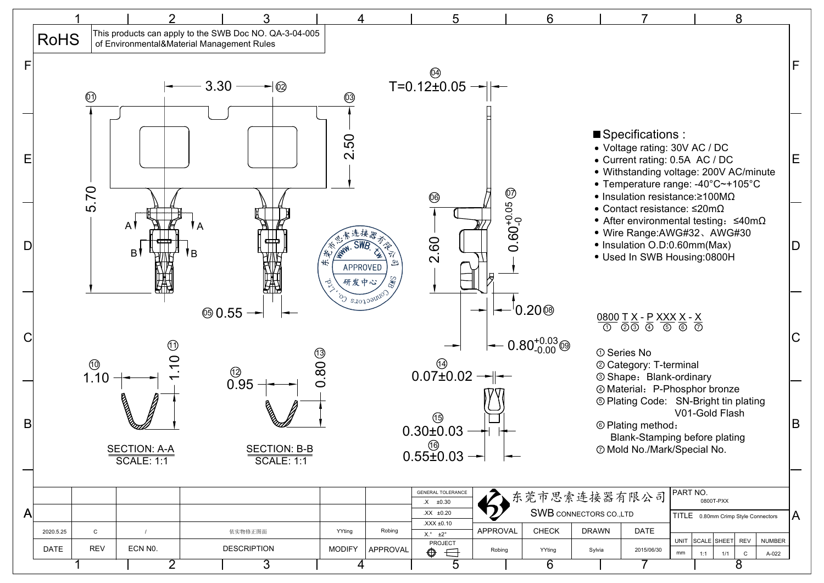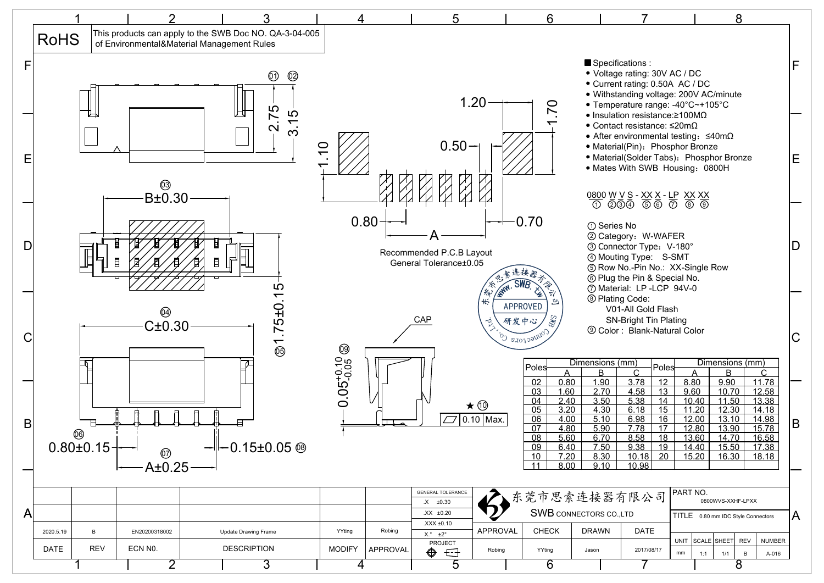